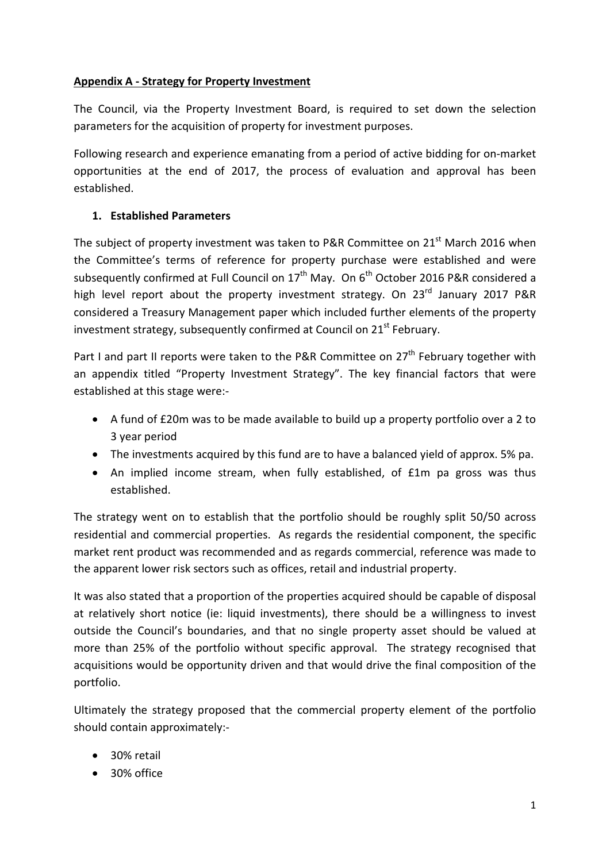### **Appendix A - Strategy for Property Investment**

The Council, via the Property Investment Board, is required to set down the selection parameters for the acquisition of property for investment purposes.

Following research and experience emanating from a period of active bidding for on-market opportunities at the end of 2017, the process of evaluation and approval has been established.

## **1. Established Parameters**

The subject of property investment was taken to P&R Committee on 21<sup>st</sup> March 2016 when the Committee's terms of reference for property purchase were established and were subsequently confirmed at Full Council on  $17<sup>th</sup>$  May. On  $6<sup>th</sup>$  October 2016 P&R considered a high level report about the property investment strategy. On 23<sup>rd</sup> January 2017 P&R considered a Treasury Management paper which included further elements of the property investment strategy, subsequently confirmed at Council on  $21<sup>st</sup>$  February.

Part I and part II reports were taken to the P&R Committee on 27<sup>th</sup> February together with an appendix titled "Property Investment Strategy". The key financial factors that were established at this stage were:-

- A fund of £20m was to be made available to build up a property portfolio over a 2 to 3 year period
- The investments acquired by this fund are to have a balanced yield of approx. 5% pa.
- An implied income stream, when fully established, of £1m pa gross was thus established.

The strategy went on to establish that the portfolio should be roughly split 50/50 across residential and commercial properties. As regards the residential component, the specific market rent product was recommended and as regards commercial, reference was made to the apparent lower risk sectors such as offices, retail and industrial property.

It was also stated that a proportion of the properties acquired should be capable of disposal at relatively short notice (ie: liquid investments), there should be a willingness to invest outside the Council's boundaries, and that no single property asset should be valued at more than 25% of the portfolio without specific approval. The strategy recognised that acquisitions would be opportunity driven and that would drive the final composition of the portfolio.

Ultimately the strategy proposed that the commercial property element of the portfolio should contain approximately:-

- 30% retail
- 30% office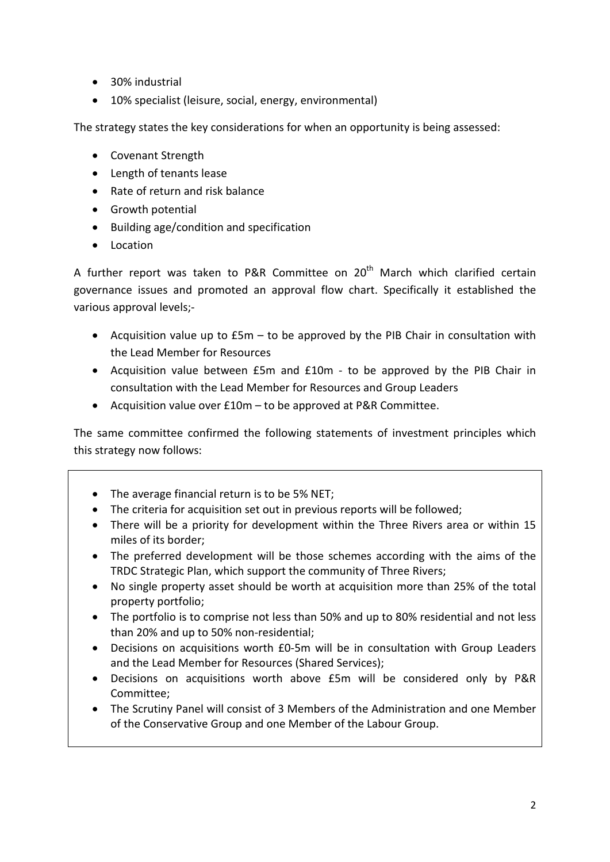- 30% industrial
- 10% specialist (leisure, social, energy, environmental)

The strategy states the key considerations for when an opportunity is being assessed:

- Covenant Strength
- Length of tenants lease
- Rate of return and risk balance
- Growth potential
- Building age/condition and specification
- Location

A further report was taken to P&R Committee on  $20<sup>th</sup>$  March which clarified certain governance issues and promoted an approval flow chart. Specifically it established the various approval levels;-

- Acquisition value up to £5m to be approved by the PIB Chair in consultation with the Lead Member for Resources
- Acquisition value between £5m and £10m to be approved by the PIB Chair in consultation with the Lead Member for Resources and Group Leaders
- Acquisition value over £10m to be approved at P&R Committee.

The same committee confirmed the following statements of investment principles which this strategy now follows:

- The average financial return is to be 5% NET;
- The criteria for acquisition set out in previous reports will be followed;
- There will be a priority for development within the Three Rivers area or within 15 miles of its border;
- The preferred development will be those schemes according with the aims of the TRDC Strategic Plan, which support the community of Three Rivers;
- No single property asset should be worth at acquisition more than 25% of the total property portfolio;
- The portfolio is to comprise not less than 50% and up to 80% residential and not less than 20% and up to 50% non-residential;
- Decisions on acquisitions worth £0-5m will be in consultation with Group Leaders and the Lead Member for Resources (Shared Services);
- Decisions on acquisitions worth above £5m will be considered only by P&R Committee;
- The Scrutiny Panel will consist of 3 Members of the Administration and one Member of the Conservative Group and one Member of the Labour Group.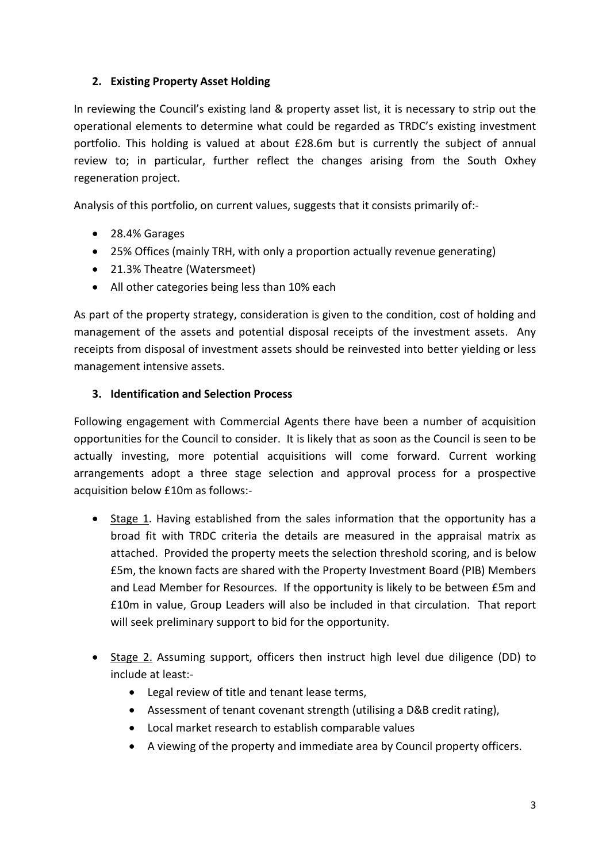## **2. Existing Property Asset Holding**

In reviewing the Council's existing land & property asset list, it is necessary to strip out the operational elements to determine what could be regarded as TRDC's existing investment portfolio. This holding is valued at about £28.6m but is currently the subject of annual review to; in particular, further reflect the changes arising from the South Oxhey regeneration project.

Analysis of this portfolio, on current values, suggests that it consists primarily of:-

- 28.4% Garages
- 25% Offices (mainly TRH, with only a proportion actually revenue generating)
- 21.3% Theatre (Watersmeet)
- All other categories being less than 10% each

As part of the property strategy, consideration is given to the condition, cost of holding and management of the assets and potential disposal receipts of the investment assets. Any receipts from disposal of investment assets should be reinvested into better yielding or less management intensive assets.

#### **3. Identification and Selection Process**

Following engagement with Commercial Agents there have been a number of acquisition opportunities for the Council to consider. It is likely that as soon as the Council is seen to be actually investing, more potential acquisitions will come forward. Current working arrangements adopt a three stage selection and approval process for a prospective acquisition below £10m as follows:-

- Stage 1. Having established from the sales information that the opportunity has a broad fit with TRDC criteria the details are measured in the appraisal matrix as attached. Provided the property meets the selection threshold scoring, and is below £5m, the known facts are shared with the Property Investment Board (PIB) Members and Lead Member for Resources. If the opportunity is likely to be between £5m and £10m in value, Group Leaders will also be included in that circulation. That report will seek preliminary support to bid for the opportunity.
- Stage 2. Assuming support, officers then instruct high level due diligence (DD) to include at least:-
	- Legal review of title and tenant lease terms,
	- Assessment of tenant covenant strength (utilising a D&B credit rating),
	- Local market research to establish comparable values
	- A viewing of the property and immediate area by Council property officers.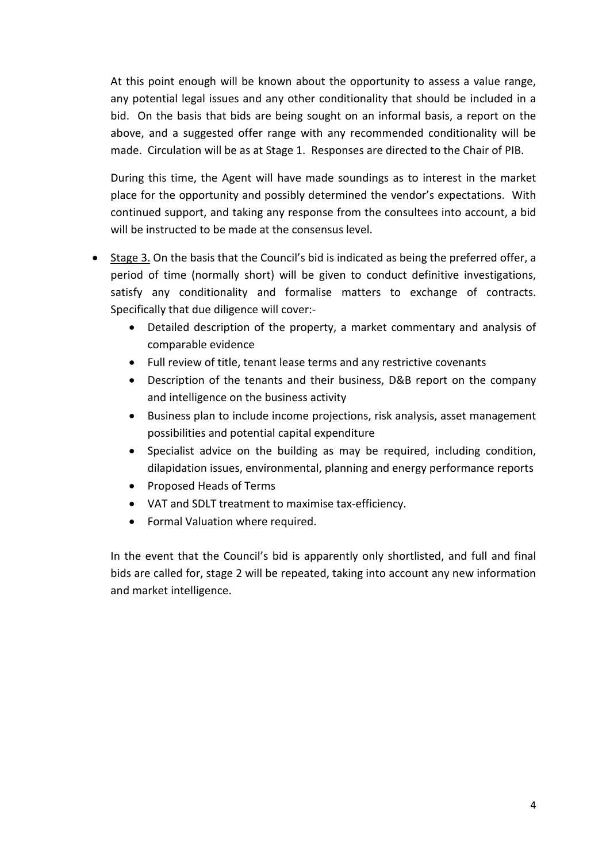At this point enough will be known about the opportunity to assess a value range, any potential legal issues and any other conditionality that should be included in a bid. On the basis that bids are being sought on an informal basis, a report on the above, and a suggested offer range with any recommended conditionality will be made. Circulation will be as at Stage 1. Responses are directed to the Chair of PIB.

During this time, the Agent will have made soundings as to interest in the market place for the opportunity and possibly determined the vendor's expectations. With continued support, and taking any response from the consultees into account, a bid will be instructed to be made at the consensus level.

- Stage 3. On the basis that the Council's bid is indicated as being the preferred offer, a period of time (normally short) will be given to conduct definitive investigations, satisfy any conditionality and formalise matters to exchange of contracts. Specifically that due diligence will cover:-
	- Detailed description of the property, a market commentary and analysis of comparable evidence
	- Full review of title, tenant lease terms and any restrictive covenants
	- Description of the tenants and their business, D&B report on the company and intelligence on the business activity
	- Business plan to include income projections, risk analysis, asset management possibilities and potential capital expenditure
	- Specialist advice on the building as may be required, including condition, dilapidation issues, environmental, planning and energy performance reports
	- Proposed Heads of Terms
	- VAT and SDLT treatment to maximise tax-efficiency.
	- Formal Valuation where required.

In the event that the Council's bid is apparently only shortlisted, and full and final bids are called for, stage 2 will be repeated, taking into account any new information and market intelligence.